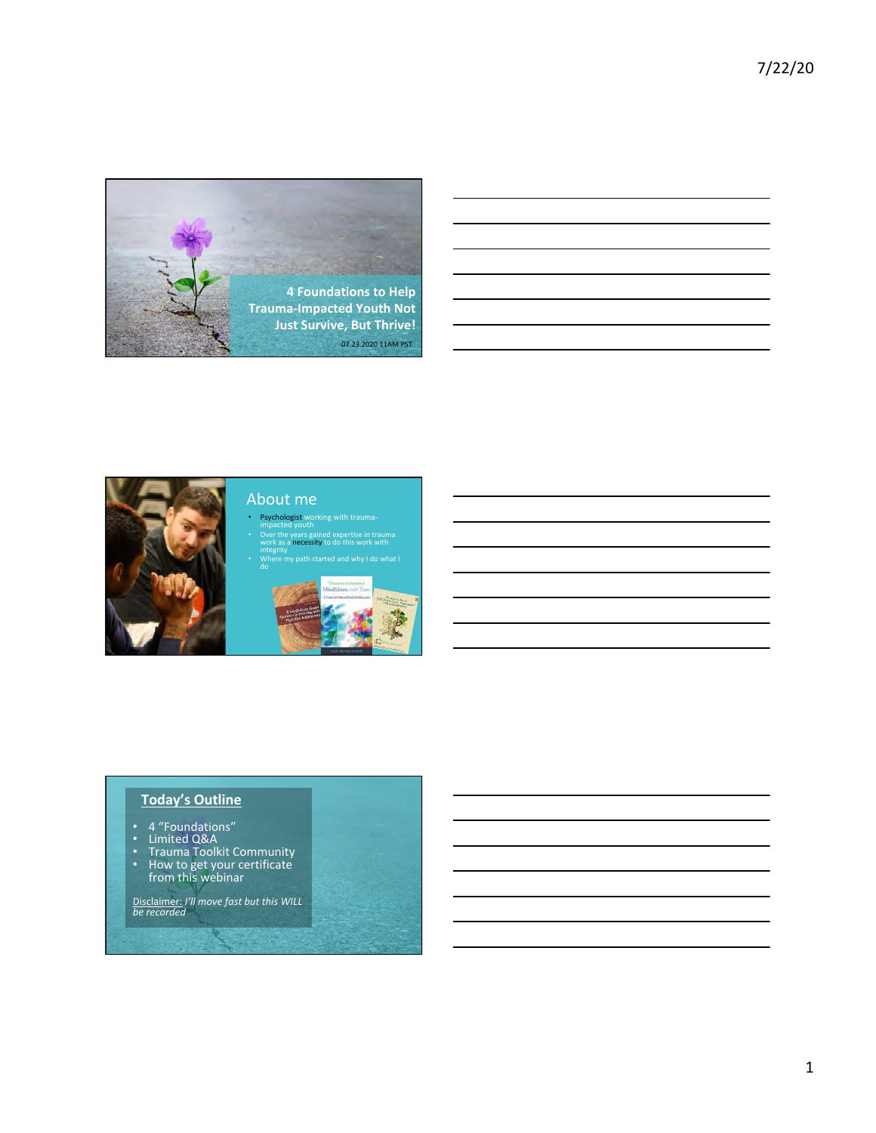



## About me

- Psychologist working with trauma-<br>impacted youth • Over the years gained expertise in trauma<br>work as a necessity to do this work with<br>integrity
- ,<br>my path started and why I do wh<mark>at</mark> I



### **Today's Outline**

- 
- 
- 4 "Foundations"<br>• Limited Q&A<br>• Trauma Toolkit Community<br>• How to get your certificate
- from this webinar

Disclaimer: *I'll move fast but this WILL be recorded*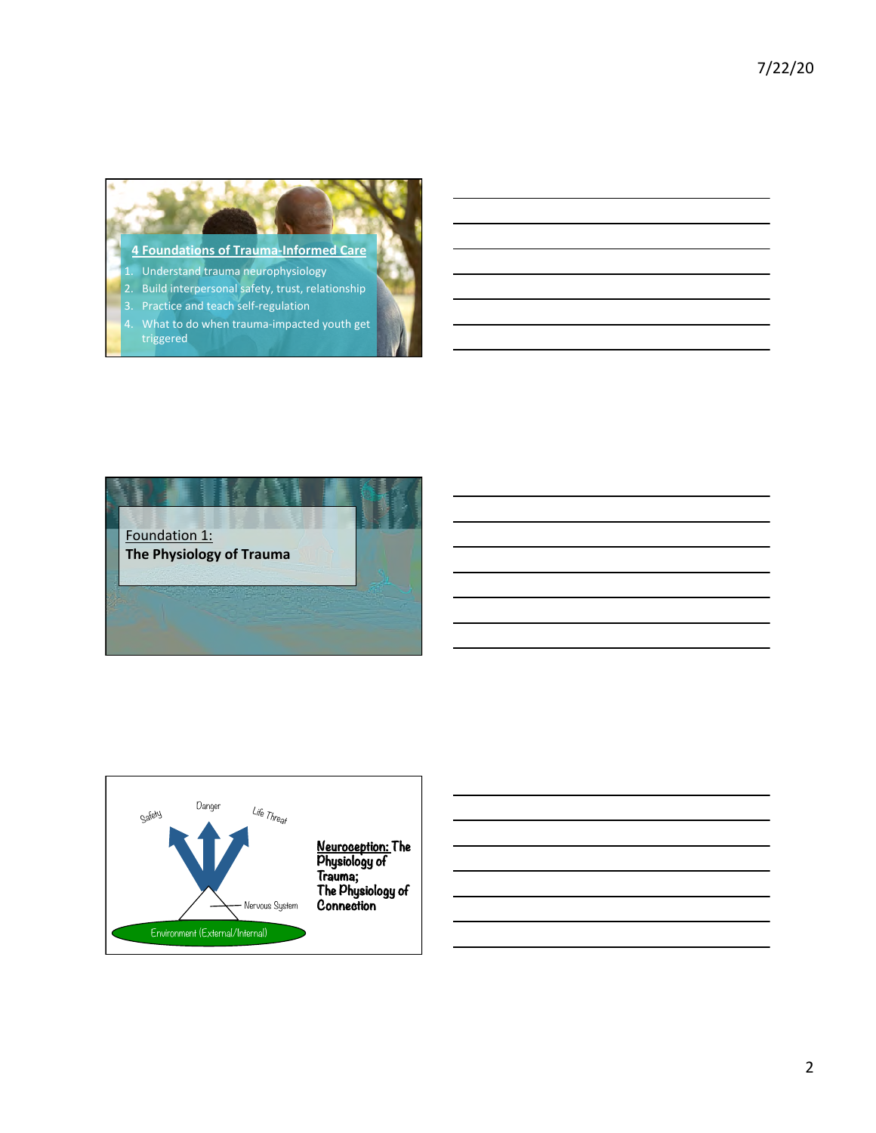#### **4 Foundations of Trauma-Informed Care**

- Understand trauma neurophysiology
- $2.$  Build interpersonal safety, trust, relationship
- 3. Practice and teach self-regulation
- 4. What to do when trauma-impacted youth get triggered



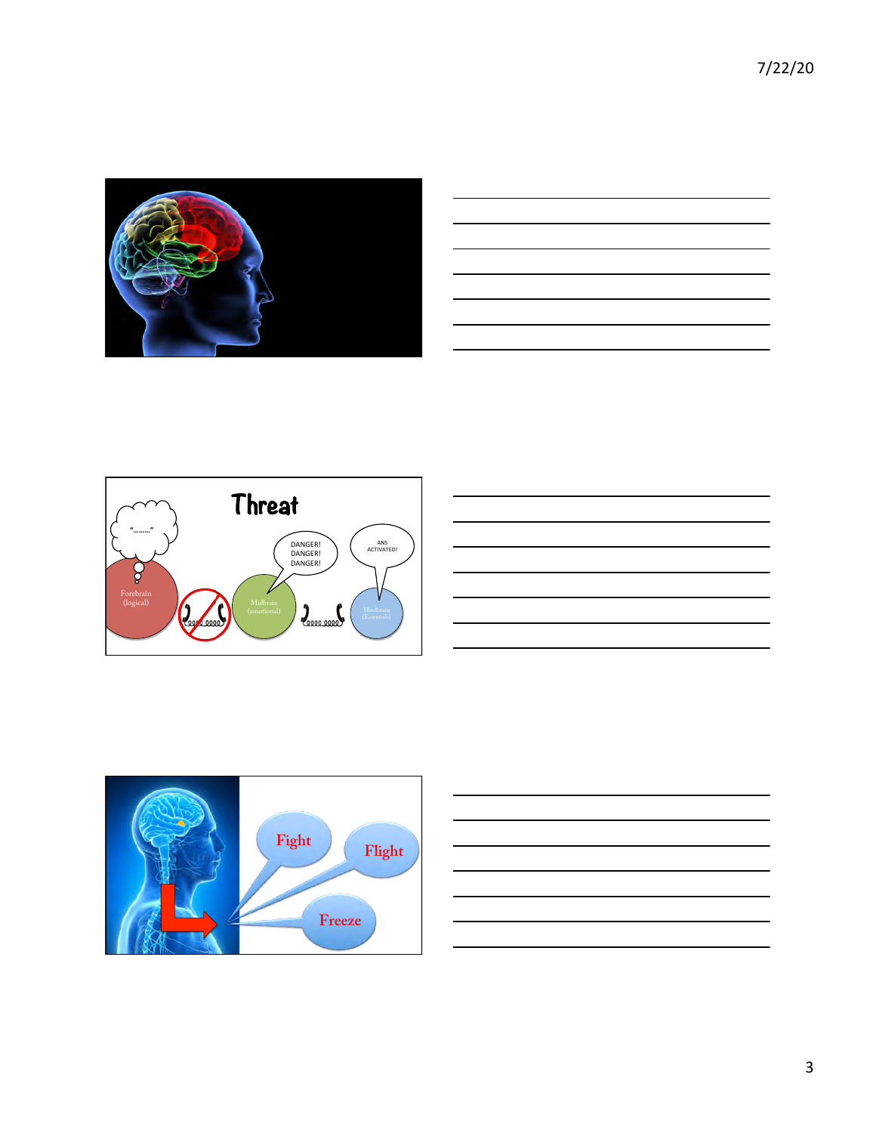7/22/20 











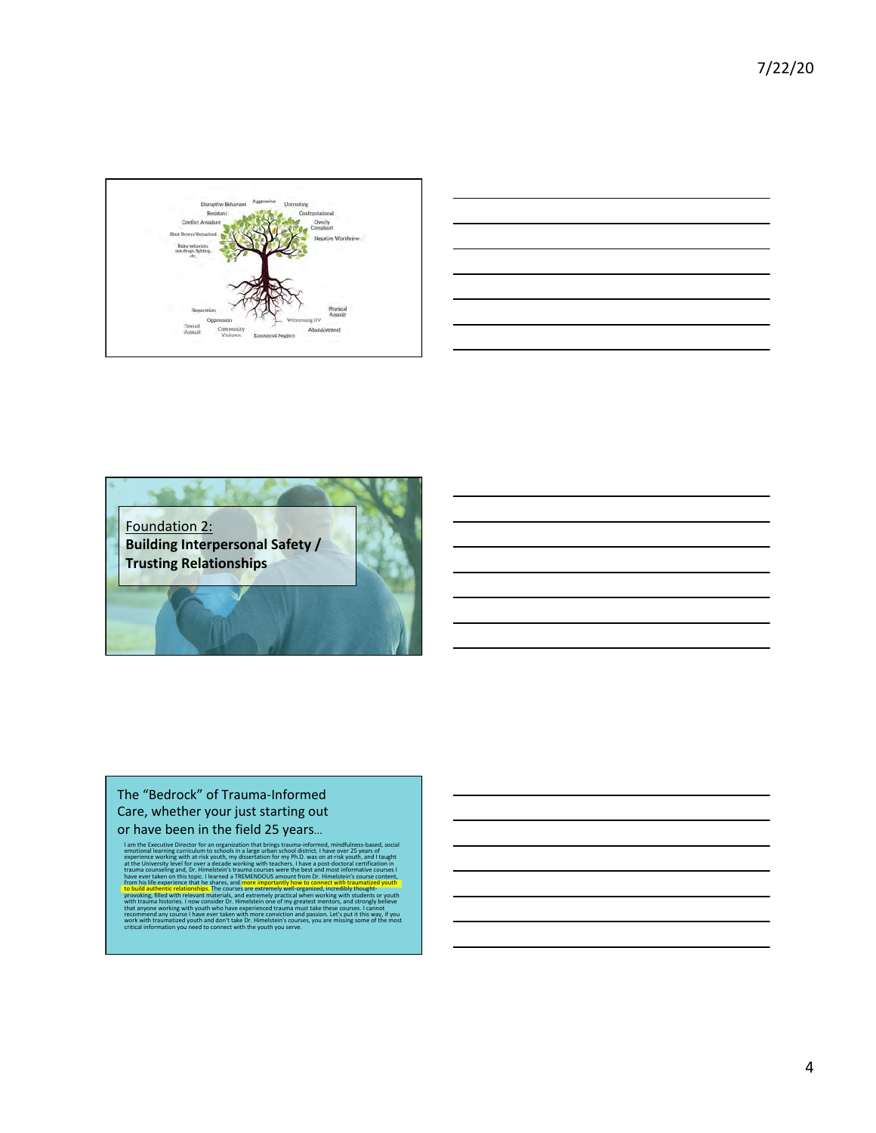





### The "Bedrock" of Trauma-Informed Care, whether your just starting out or have been in the field 25 years...

I am the Executive Director for an organization that brings trauma-informed, mindfulness-based, social<br>emotional learning curriculum to schools in a large urban school district. I have over 25 years of experience working with at-risk youth, my dissertation for my Ph.D. was on at-risk youth, and I taught at the University level for over a decade working with teachers. I have a post-doctoral certification in trauma counseling and, Dr. Himelstein's trauma courses were the best and most informative courses I have ever taken on this topic. I learned a TREMENDOUS amount from Dr. Himelstein's course content, from his life experience that he shares, and more importantly how to connect with traumatized youth to build authentic relationships. The courses are extremely well-organized, incredibly thoughtprovoking, filled with relevant materials, and extremely practical when working with students or youth with trauma histories. I now consider Dr. Himelstein one of my greatest mentors, and strongly believe that anyone working with youth who have experienced trauma must take these courses. I cannot rese courses.<br>Let's put it <mark>t</mark> work with traumatized youth and don't take Dr. Himelstein's courses, you are missing some of the most critical information you need to connect with the youth you serve.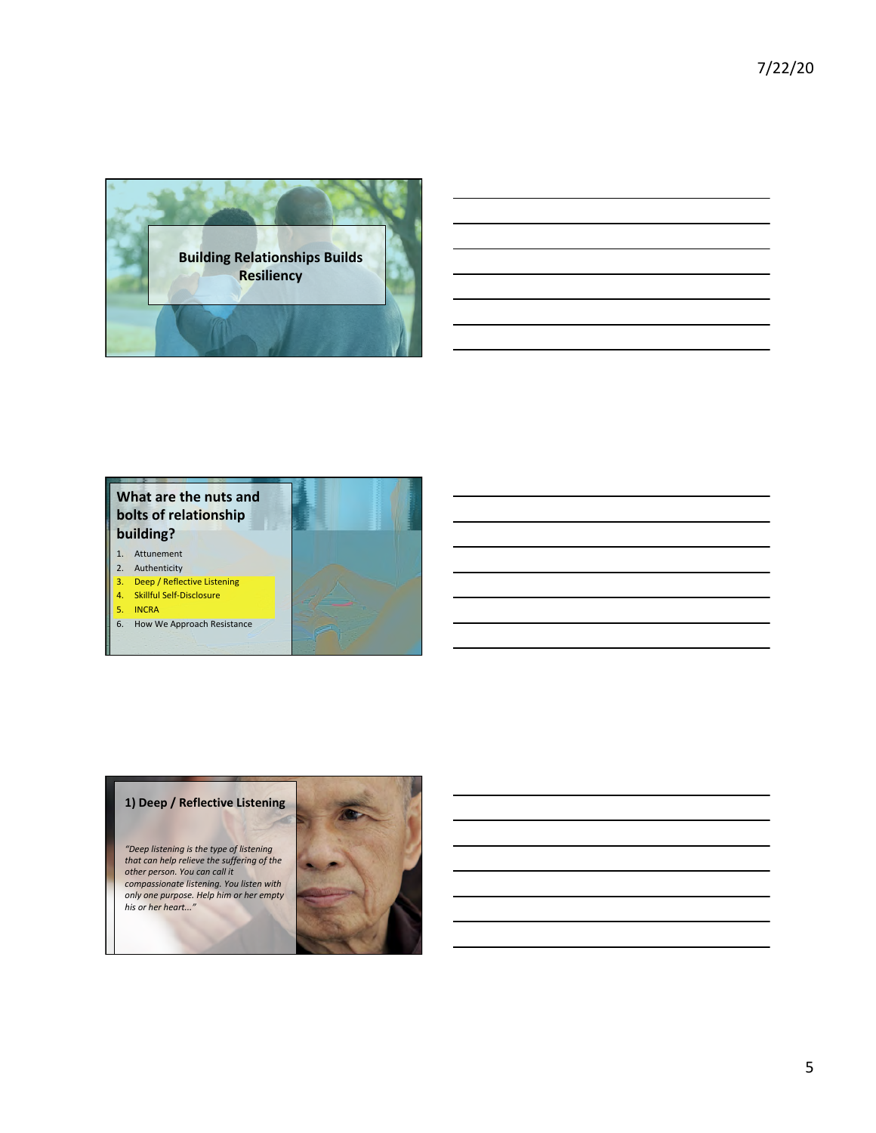



- 
- 4. Skillful Self-Disclosure
- 5. INCRA
- 6. How We Approach Resistance



*"Deep listening is the type of listening*  that can help relieve the suffering of the other person. You can call it *compassionate listening. You listen with*  only one purpose. Help him or her empty *his or her heart..."* 

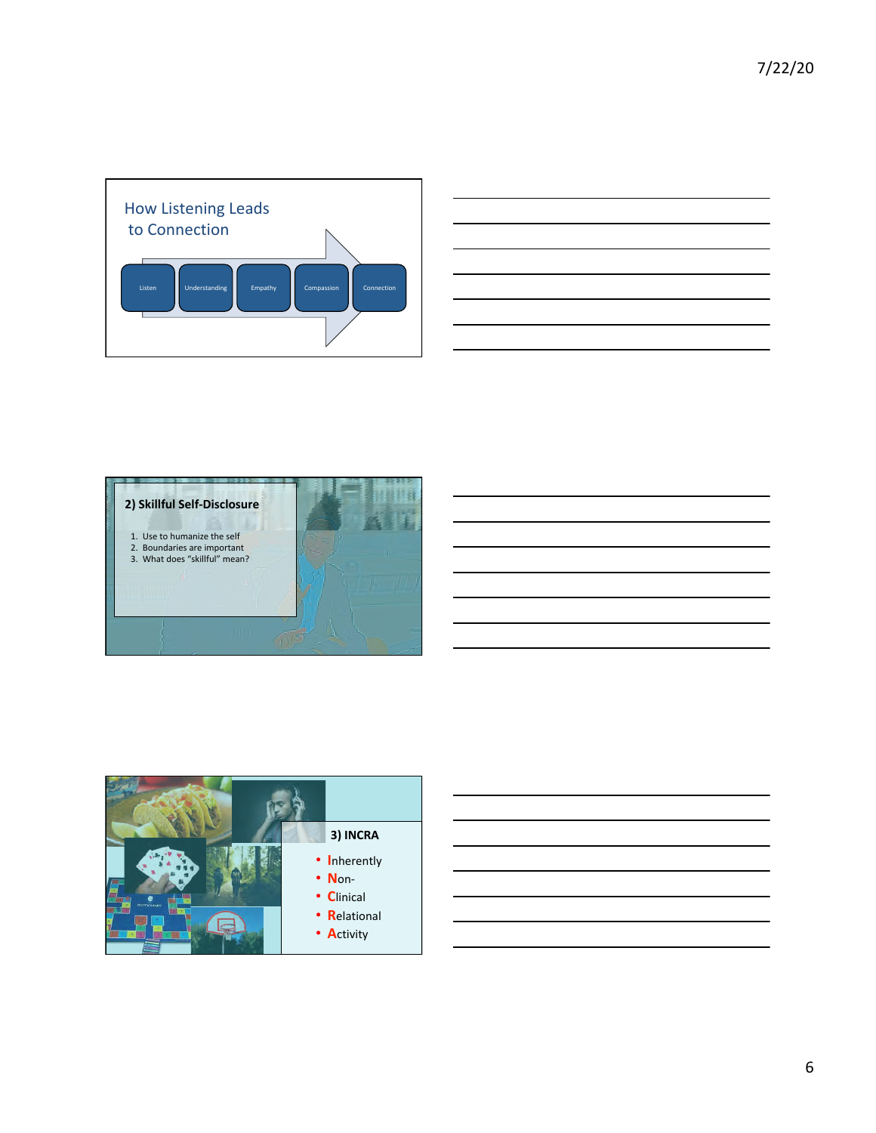





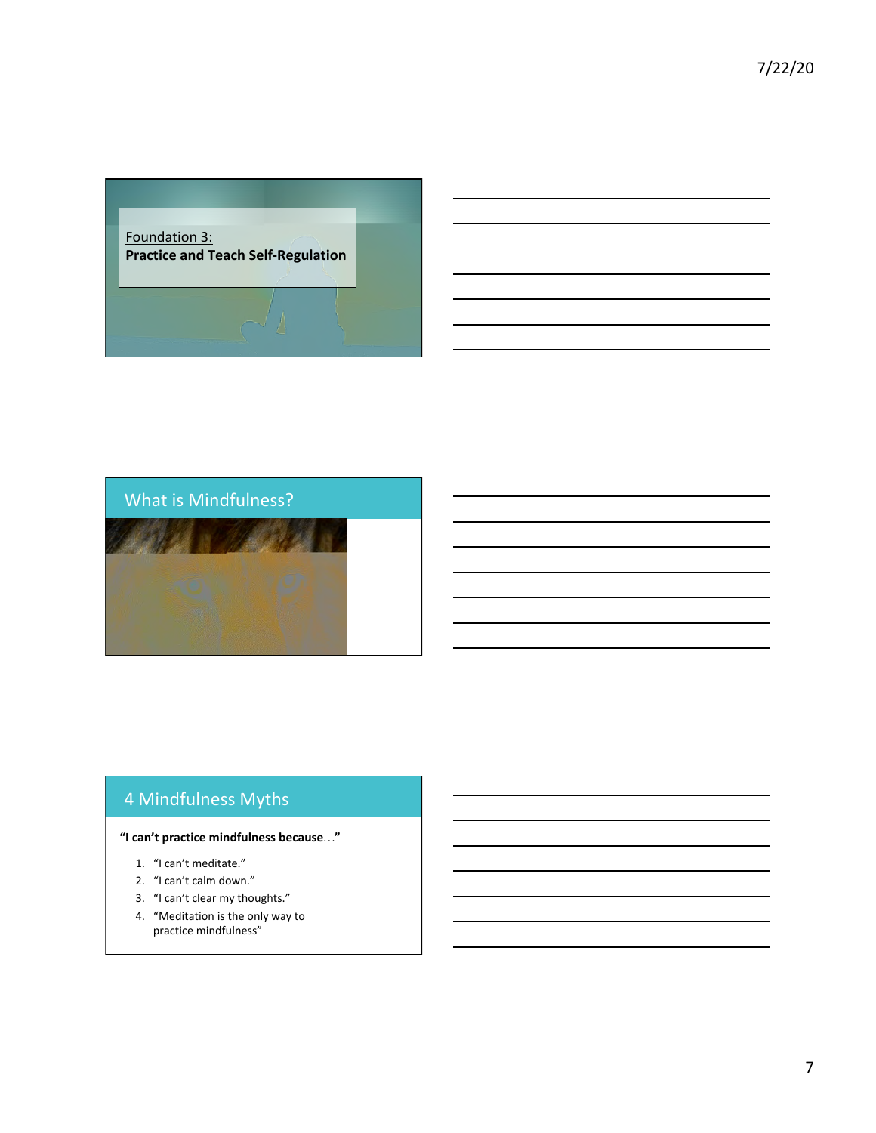





# 4 Mindfulness Myths

#### **"I can't practice mindfulness because…"**

- 1. "I can't meditate."
- 2. "I can't calm down."
- 3. "I can't clear my thoughts."
- 4. "Meditation is the only way to practice mindfulness"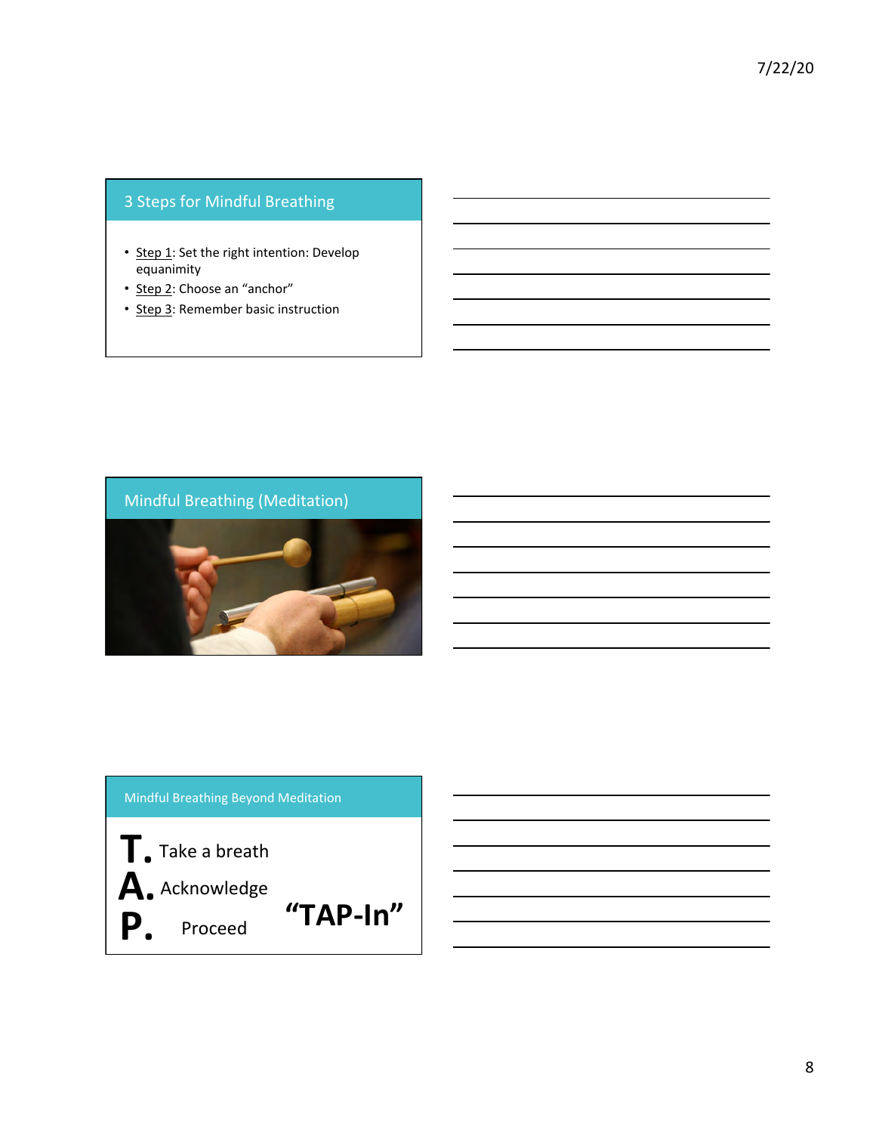### 3 Steps for Mindful Breathing

- Step 1: Set the right intention: Develop equanimity
- Step 2: Choose an "anchor"
- Step 3: Remember basic instruction



### Mindful Breathing Beyond Meditation

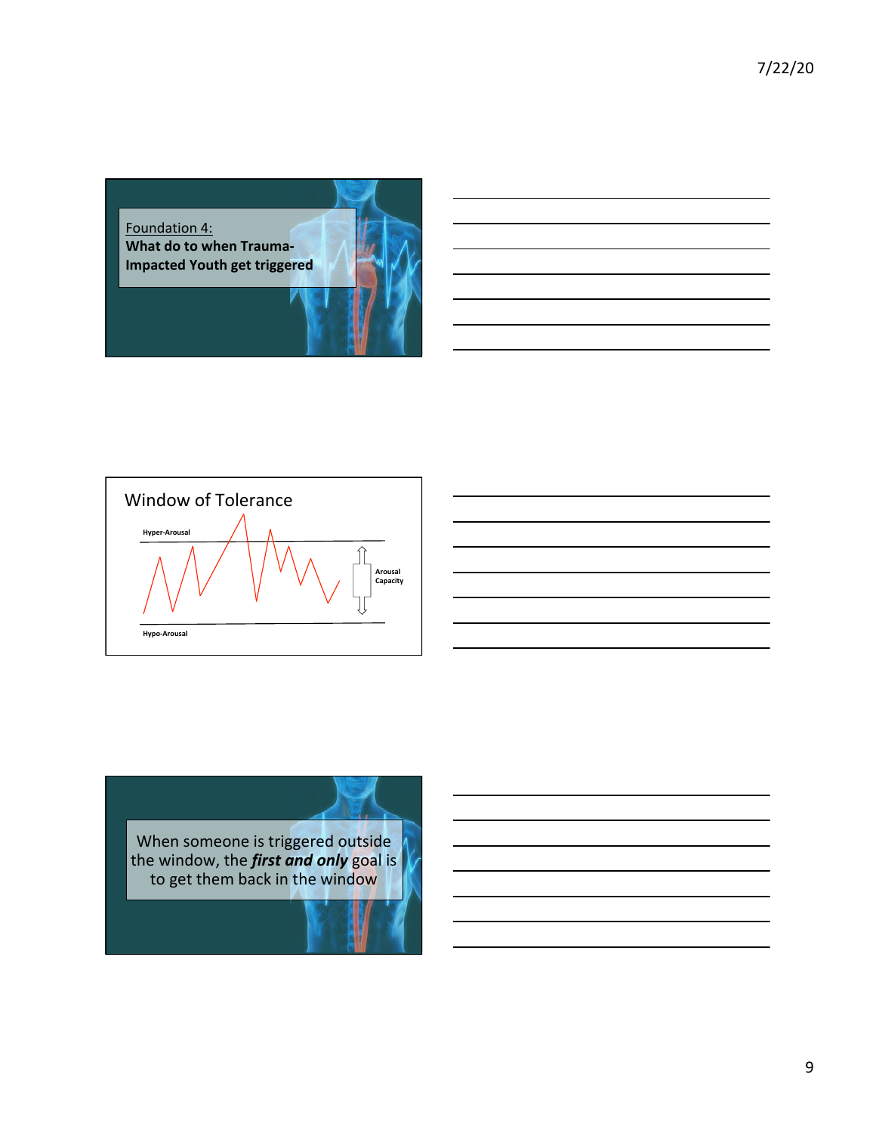7/22/20 





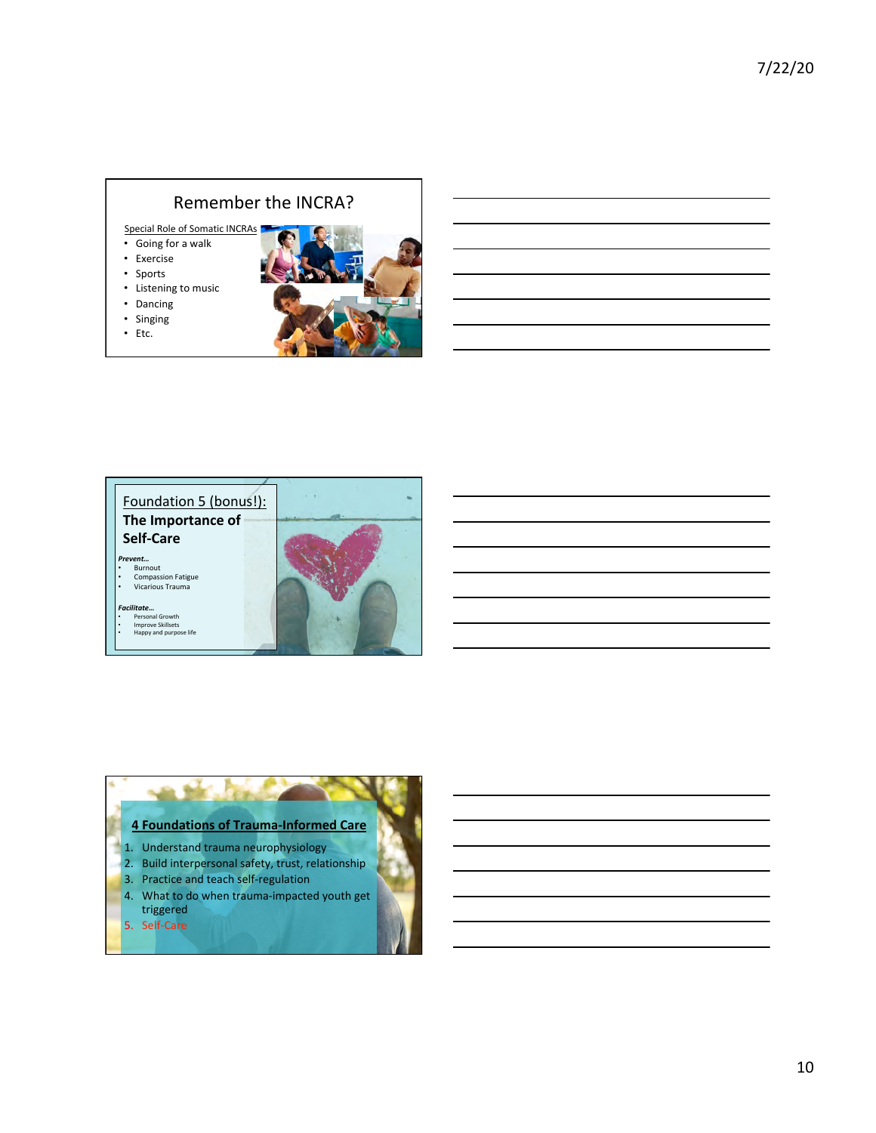### Remember the INCRA?

Special Role of Somatic INCRAs

- Going for a walk
- Exercise
- Sports
- Listening to music
- Dancing • Singing
- Etc.
- 



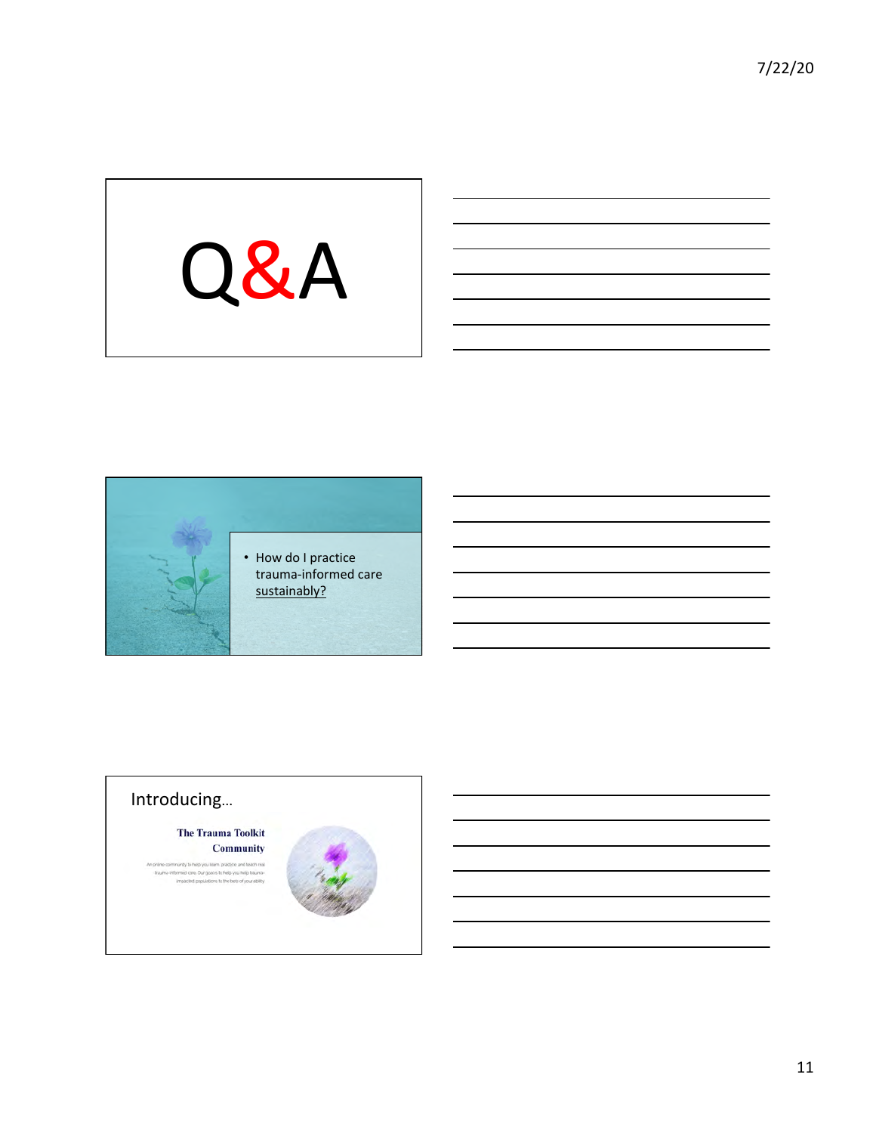



# Introducing…

**The Trauma Toolkit** Community

imunity to help you learn, practice, and teach real<br>formed care, Our goal is to help you help traumain<br>impacted populations to the bets of your ability

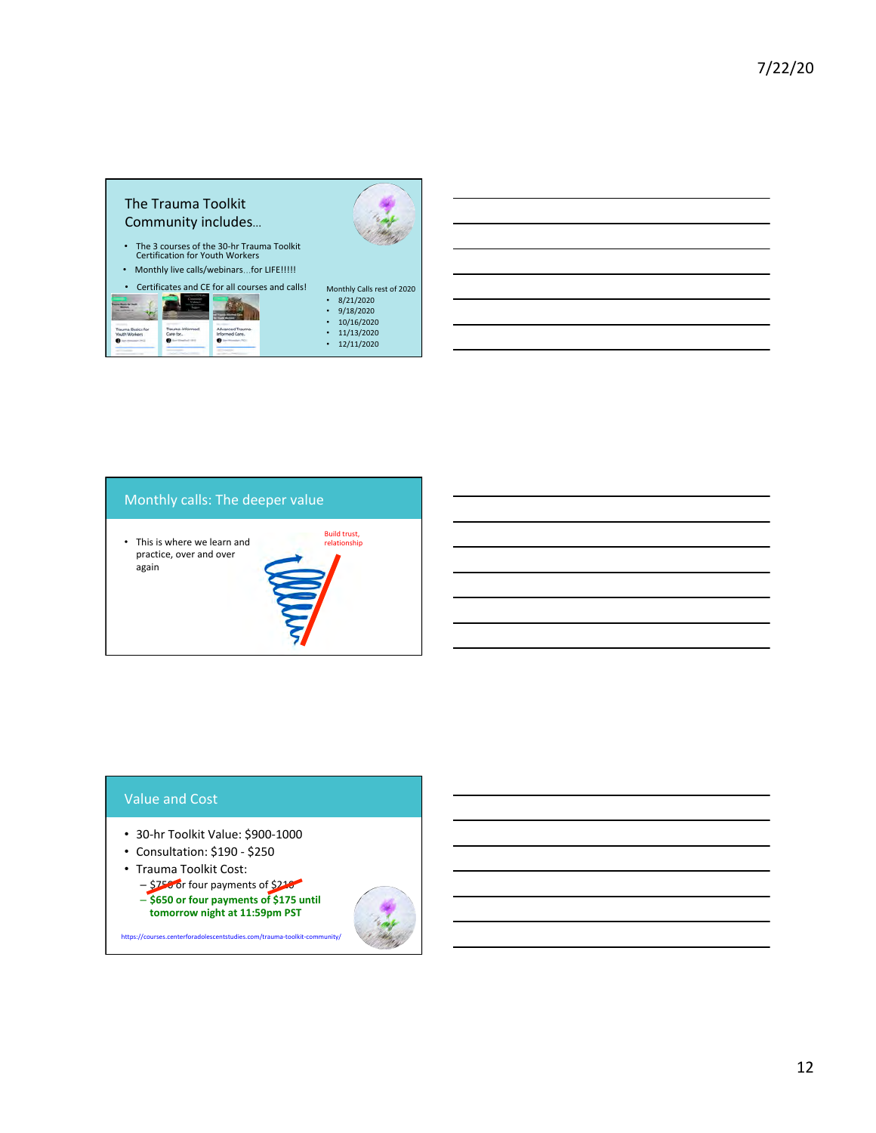

### Monthly calls: The deeper value

Build trust,<br>relationship  $\cdot$  This is where we learn and practice, over and over again 

#### Value and Cost

- 30-hr Toolkit Value: \$900-1000
- Consultation: \$190 \$250
- Trauma Toolkit Cost:
- \$750 or four payments of \$210 – **\$650 or four payments of \$175 until**

https://courses.centerforadolescentstudies.com/trauma-toolkit-co

tomorrow night at 11:59pm PST